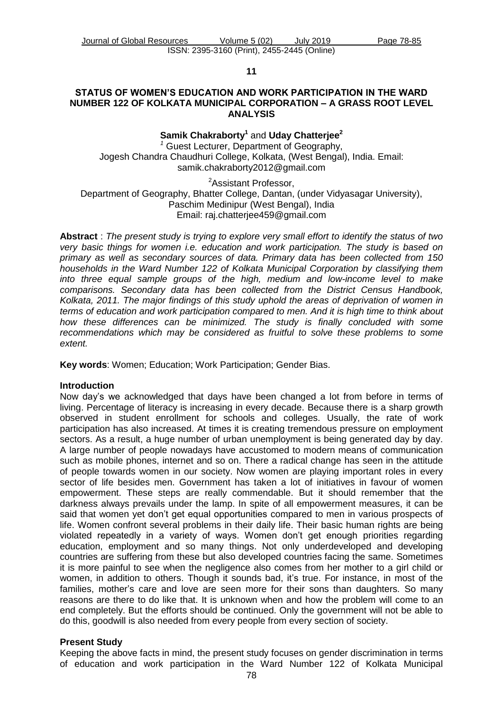#### **11**

### **STATUS OF WOMEN'S EDUCATION AND WORK PARTICIPATION IN THE WARD NUMBER 122 OF KOLKATA MUNICIPAL CORPORATION – A GRASS ROOT LEVEL ANALYSIS**

## **Samik Chakraborty<sup>1</sup>** and **Uday Chatterjee<sup>2</sup>**

*<sup>1</sup>* Guest Lecturer, Department of Geography, Jogesh Chandra Chaudhuri College, Kolkata, (West Bengal), India. Email: [samik.chakraborty2012@gmail.com](mailto:samik.chakraborty2012@gmail.com)

<sup>2</sup>Assistant Professor,

Department of Geography, Bhatter College, Dantan, (under Vidyasagar University), Paschim Medinipur (West Bengal), India Email: [raj.chatterjee459@gmail.com](mailto:raj.chatterjee459@gmail.com)

**Abstract** : *The present study is trying to explore very small effort to identify the status of two very basic things for women i.e. education and work participation. The study is based on primary as well as secondary sources of data. Primary data has been collected from 150 households in the Ward Number 122 of Kolkata Municipal Corporation by classifying them into three equal sample groups of the high, medium and low-income level to make comparisons. Secondary data has been collected from the District Census Handbook, Kolkata, 2011. The major findings of this study uphold the areas of deprivation of women in terms of education and work participation compared to men. And it is high time to think about how these differences can be minimized. The study is finally concluded with some recommendations which may be considered as fruitful to solve these problems to some extent.*

**Key words**: Women; Education; Work Participation; Gender Bias.

### **Introduction**

Now day's we acknowledged that days have been changed a lot from before in terms of living. Percentage of literacy is increasing in every decade. Because there is a sharp growth observed in student enrollment for schools and colleges. Usually, the rate of work participation has also increased. At times it is creating tremendous pressure on employment sectors. As a result, a huge number of urban unemployment is being generated day by day. A large number of people nowadays have accustomed to modern means of communication such as mobile phones, internet and so on. There a radical change has seen in the attitude of people towards women in our society. Now women are playing important roles in every sector of life besides men. Government has taken a lot of initiatives in favour of women empowerment. These steps are really commendable. But it should remember that the darkness always prevails under the lamp. In spite of all empowerment measures, it can be said that women yet don't get equal opportunities compared to men in various prospects of life. Women confront several problems in their daily life. Their basic human rights are being violated repeatedly in a variety of ways. Women don't get enough priorities regarding education, employment and so many things. Not only underdeveloped and developing countries are suffering from these but also developed countries facing the same. Sometimes it is more painful to see when the negligence also comes from her mother to a girl child or women, in addition to others. Though it sounds bad, it's true. For instance, in most of the families, mother's care and love are seen more for their sons than daughters. So many reasons are there to do like that. It is unknown when and how the problem will come to an end completely. But the efforts should be continued. Only the government will not be able to do this, goodwill is also needed from every people from every section of society.

### **Present Study**

Keeping the above facts in mind, the present study focuses on gender discrimination in terms of education and work participation in the Ward Number 122 of Kolkata Municipal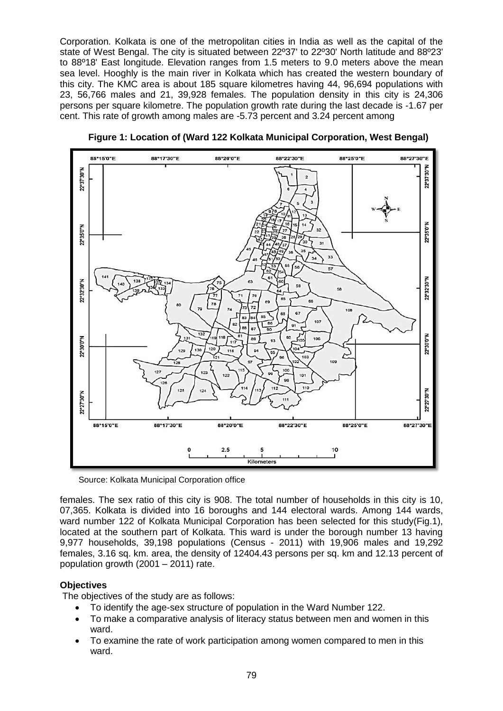Corporation. Kolkata is one of the metropolitan cities in India as well as the capital of the state of West Bengal. The city is situated between 22º37' to 22º30' North latitude and 88º23' to 88º18' East longitude. Elevation ranges from 1.5 meters to 9.0 meters above the mean sea level. Hooghly is the main river in Kolkata which has created the western boundary of this city. The KMC area is about 185 square kilometres having 44, 96,694 populations with 23, 56,766 males and 21, 39,928 females. The population density in this city is 24,306 persons per square kilometre. The population growth rate during the last decade is -1.67 per cent. This rate of growth among males are -5.73 percent and 3.24 percent among



 **Figure 1: Location of (Ward 122 Kolkata Municipal Corporation, West Bengal)**

Source: Kolkata Municipal Corporation office

females. The sex ratio of this city is 908. The total number of households in this city is 10, 07,365. Kolkata is divided into 16 boroughs and 144 electoral wards. Among 144 wards, ward number 122 of Kolkata Municipal Corporation has been selected for this study(Fig.1), located at the southern part of Kolkata. This ward is under the borough number 13 having 9,977 households, 39,198 populations (Census - 2011) with 19,906 males and 19,292 females, 3.16 sq. km. area, the density of 12404.43 persons per sq. km and 12.13 percent of population growth (2001 – 2011) rate.

## **Objectives**

The objectives of the study are as follows:

- To identify the age-sex structure of population in the Ward Number 122.
- To make a comparative analysis of literacy status between men and women in this ward.
- To examine the rate of work participation among women compared to men in this ward.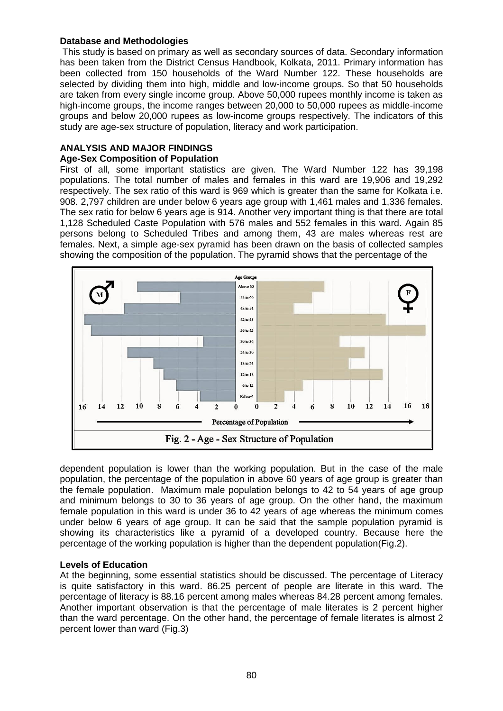## **Database and Methodologies**

This study is based on primary as well as secondary sources of data. Secondary information has been taken from the District Census Handbook, Kolkata, 2011. Primary information has been collected from 150 households of the Ward Number 122. These households are selected by dividing them into high, middle and low-income groups. So that 50 households are taken from every single income group. Above 50,000 rupees monthly income is taken as high-income groups, the income ranges between 20,000 to 50,000 rupees as middle-income groups and below 20,000 rupees as low-income groups respectively. The indicators of this study are age-sex structure of population, literacy and work participation.

# **ANALYSIS AND MAJOR FINDINGS**

## **Age-Sex Composition of Population**

First of all, some important statistics are given. The Ward Number 122 has 39,198 populations. The total number of males and females in this ward are 19,906 and 19,292 respectively. The sex ratio of this ward is 969 which is greater than the same for Kolkata i.e. 908. 2,797 children are under below 6 years age group with 1,461 males and 1,336 females. The sex ratio for below 6 years age is 914. Another very important thing is that there are total 1,128 Scheduled Caste Population with 576 males and 552 females in this ward. Again 85 persons belong to Scheduled Tribes and among them, 43 are males whereas rest are females. Next, a simple age-sex pyramid has been drawn on the basis of collected samples showing the composition of the population. The pyramid shows that the percentage of the



dependent population is lower than the working population. But in the case of the male population, the percentage of the population in above 60 years of age group is greater than the female population. Maximum male population belongs to 42 to 54 years of age group and minimum belongs to 30 to 36 years of age group. On the other hand, the maximum female population in this ward is under 36 to 42 years of age whereas the minimum comes under below 6 years of age group. It can be said that the sample population pyramid is showing its characteristics like a pyramid of a developed country. Because here the percentage of the working population is higher than the dependent population(Fig.2).

### **Levels of Education**

At the beginning, some essential statistics should be discussed. The percentage of Literacy is quite satisfactory in this ward. 86.25 percent of people are literate in this ward. The percentage of literacy is 88.16 percent among males whereas 84.28 percent among females. Another important observation is that the percentage of male literates is 2 percent higher than the ward percentage. On the other hand, the percentage of female literates is almost 2 percent lower than ward (Fig.3)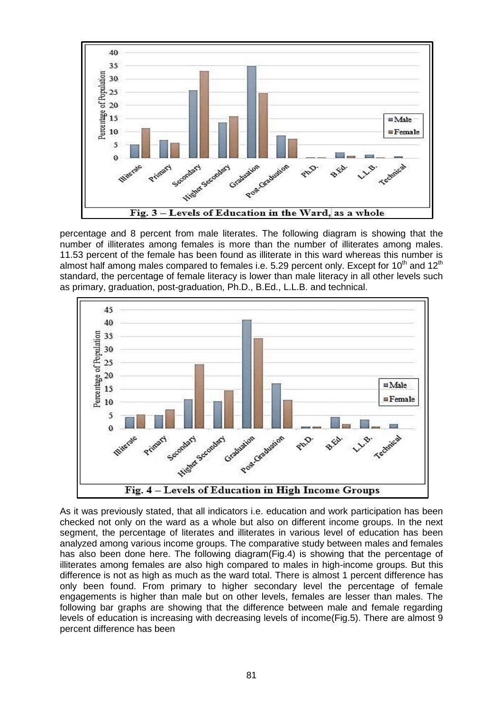

percentage and 8 percent from male literates. The following diagram is showing that the number of illiterates among females is more than the number of illiterates among males. 11.53 percent of the female has been found as illiterate in this ward whereas this number is almost half among males compared to females i.e. 5.29 percent only. Except for 10<sup>th</sup> and 12<sup>th</sup> standard, the percentage of female literacy is lower than male literacy in all other levels such as primary, graduation, post-graduation, Ph.D., B.Ed., L.L.B. and technical.



As it was previously stated, that all indicators i.e. education and work participation has been checked not only on the ward as a whole but also on different income groups. In the next segment, the percentage of literates and illiterates in various level of education has been analyzed among various income groups. The comparative study between males and females has also been done here. The following diagram(Fig.4) is showing that the percentage of illiterates among females are also high compared to males in high-income groups. But this difference is not as high as much as the ward total. There is almost 1 percent difference has only been found. From primary to higher secondary level the percentage of female engagements is higher than male but on other levels, females are lesser than males. The following bar graphs are showing that the difference between male and female regarding levels of education is increasing with decreasing levels of income(Fig.5). There are almost 9 percent difference has been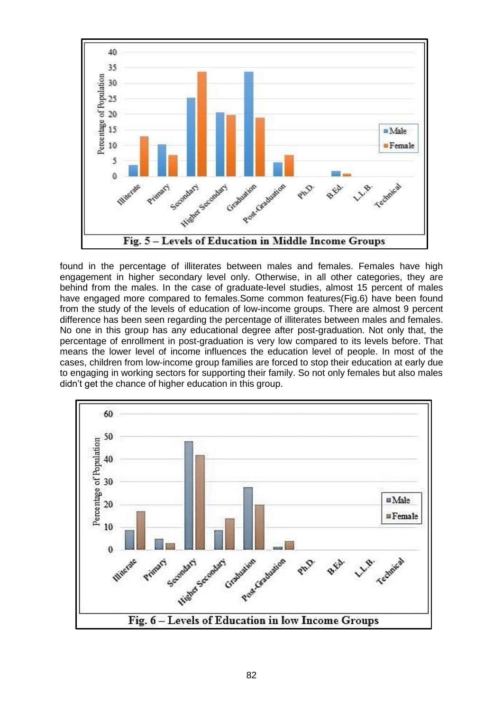

found in the percentage of illiterates between males and females. Females have high engagement in higher secondary level only. Otherwise, in all other categories, they are behind from the males. In the case of graduate-level studies, almost 15 percent of males have engaged more compared to females.Some common features(Fig.6) have been found from the study of the levels of education of low-income groups. There are almost 9 percent difference has been seen regarding the percentage of illiterates between males and females. No one in this group has any educational degree after post-graduation. Not only that, the percentage of enrollment in post-graduation is very low compared to its levels before. That means the lower level of income influences the education level of people. In most of the cases, children from low-income group families are forced to stop their education at early due to engaging in working sectors for supporting their family. So not only females but also males didn't get the chance of higher education in this group.

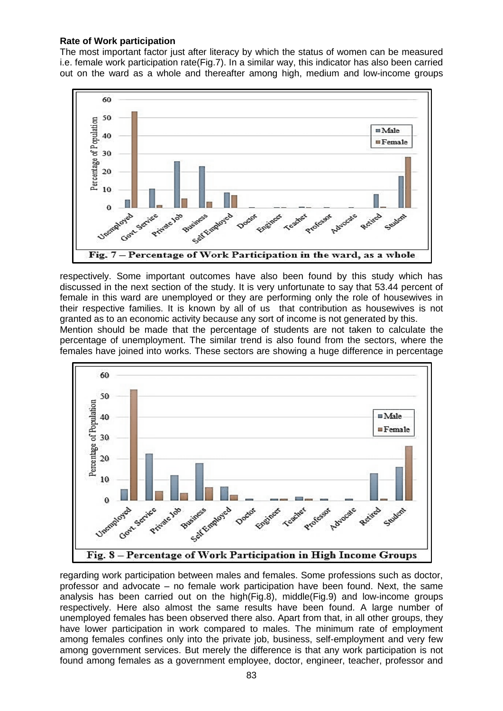### **Rate of Work participation**

The most important factor just after literacy by which the status of women can be measured i.e. female work participation rate(Fig.7). In a similar way, this indicator has also been carried out on the ward as a whole and thereafter among high, medium and low-income groups



respectively. Some important outcomes have also been found by this study which has discussed in the next section of the study. It is very unfortunate to say that 53.44 percent of female in this ward are unemployed or they are performing only the role of housewives in their respective families. It is known by all of us that contribution as housewives is not granted as to an economic activity because any sort of income is not generated by this.

Mention should be made that the percentage of students are not taken to calculate the percentage of unemployment. The similar trend is also found from the sectors, where the females have joined into works. These sectors are showing a huge difference in percentage



regarding work participation between males and females. Some professions such as doctor, professor and advocate – no female work participation have been found. Next, the same analysis has been carried out on the high(Fig.8), middle(Fig.9) and low-income groups respectively. Here also almost the same results have been found. A large number of unemployed females has been observed there also. Apart from that, in all other groups, they have lower participation in work compared to males. The minimum rate of employment among females confines only into the private job, business, self-employment and very few among government services. But merely the difference is that any work participation is not found among females as a government employee, doctor, engineer, teacher, professor and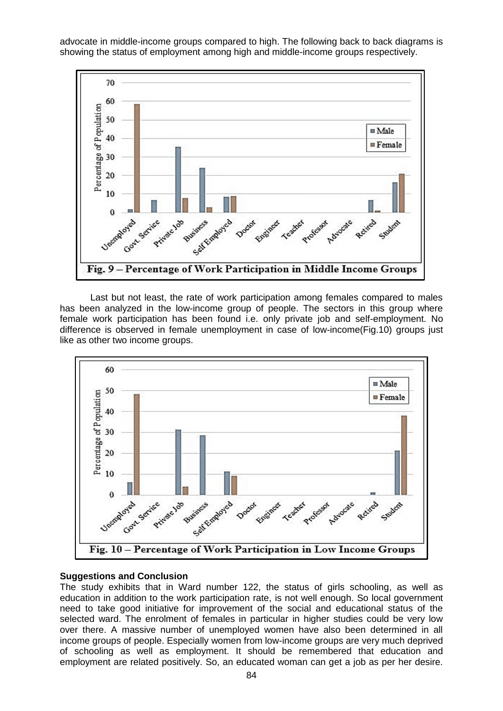advocate in middle-income groups compared to high. The following back to back diagrams is showing the status of employment among high and middle-income groups respectively.



Last but not least, the rate of work participation among females compared to males has been analyzed in the low-income group of people. The sectors in this group where female work participation has been found i.e. only private job and self-employment. No difference is observed in female unemployment in case of low-income(Fig.10) groups just like as other two income groups.



### **Suggestions and Conclusion**

The study exhibits that in Ward number 122, the status of girls schooling, as well as education in addition to the work participation rate, is not well enough. So local government need to take good initiative for improvement of the social and educational status of the selected ward. The enrolment of females in particular in higher studies could be very low over there. A massive number of unemployed women have also been determined in all income groups of people. Especially women from low-income groups are very much deprived of schooling as well as employment. It should be remembered that education and employment are related positively. So, an educated woman can get a job as per her desire.